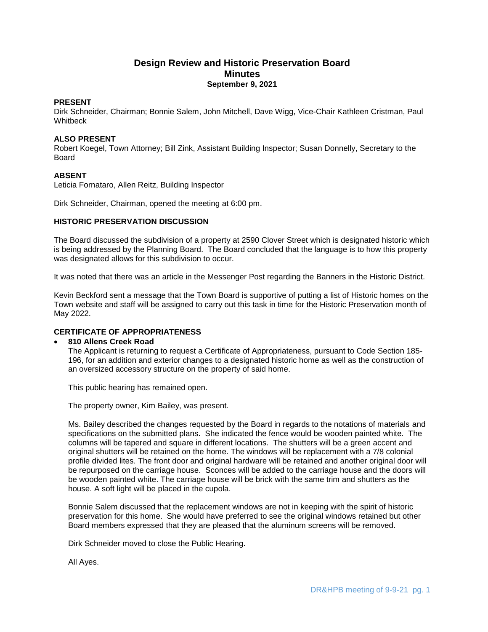# **Design Review and Historic Preservation Board Minutes September 9, 2021**

## **PRESENT**

Dirk Schneider, Chairman; Bonnie Salem, John Mitchell, Dave Wigg, Vice-Chair Kathleen Cristman, Paul **Whitbeck** 

## **ALSO PRESENT**

Robert Koegel, Town Attorney; Bill Zink, Assistant Building Inspector; Susan Donnelly, Secretary to the Board

## **ABSENT**

Leticia Fornataro, Allen Reitz, Building Inspector

Dirk Schneider, Chairman, opened the meeting at 6:00 pm.

## **HISTORIC PRESERVATION DISCUSSION**

The Board discussed the subdivision of a property at 2590 Clover Street which is designated historic which is being addressed by the Planning Board. The Board concluded that the language is to how this property was designated allows for this subdivision to occur.

It was noted that there was an article in the Messenger Post regarding the Banners in the Historic District.

Kevin Beckford sent a message that the Town Board is supportive of putting a list of Historic homes on the Town website and staff will be assigned to carry out this task in time for the Historic Preservation month of May 2022.

## **CERTIFICATE OF APPROPRIATENESS**

## **810 Allens Creek Road**

The Applicant is returning to request a Certificate of Appropriateness, pursuant to Code Section 185- 196, for an addition and exterior changes to a designated historic home as well as the construction of an oversized accessory structure on the property of said home.

This public hearing has remained open.

The property owner, Kim Bailey, was present.

Ms. Bailey described the changes requested by the Board in regards to the notations of materials and specifications on the submitted plans. She indicated the fence would be wooden painted white. The columns will be tapered and square in different locations. The shutters will be a green accent and original shutters will be retained on the home. The windows will be replacement with a 7/8 colonial profile divided lites. The front door and original hardware will be retained and another original door will be repurposed on the carriage house. Sconces will be added to the carriage house and the doors will be wooden painted white. The carriage house will be brick with the same trim and shutters as the house. A soft light will be placed in the cupola.

Bonnie Salem discussed that the replacement windows are not in keeping with the spirit of historic preservation for this home. She would have preferred to see the original windows retained but other Board members expressed that they are pleased that the aluminum screens will be removed.

Dirk Schneider moved to close the Public Hearing.

All Ayes.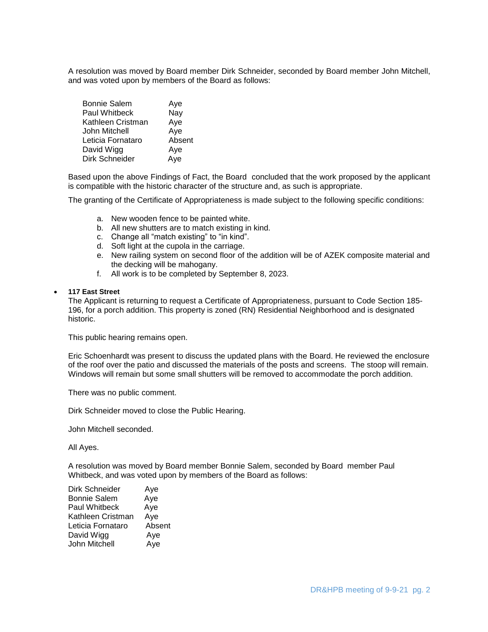A resolution was moved by Board member Dirk Schneider, seconded by Board member John Mitchell, and was voted upon by members of the Board as follows:

| <b>Bonnie Salem</b>  | Aye    |
|----------------------|--------|
| <b>Paul Whitbeck</b> | Nay    |
| Kathleen Cristman    | Aye    |
| John Mitchell        | Aye    |
| Leticia Fornataro    | Absent |
| David Wigg           | Aye    |
| Dirk Schneider       | Aye    |

Based upon the above Findings of Fact, the Board concluded that the work proposed by the applicant is compatible with the historic character of the structure and, as such is appropriate.

The granting of the Certificate of Appropriateness is made subject to the following specific conditions:

- a. New wooden fence to be painted white.
- b. All new shutters are to match existing in kind.
- c. Change all "match existing" to "in kind".
- d. Soft light at the cupola in the carriage.
- e. New railing system on second floor of the addition will be of AZEK composite material and the decking will be mahogany.
- f. All work is to be completed by September 8, 2023.

#### **117 East Street**

The Applicant is returning to request a Certificate of Appropriateness, pursuant to Code Section 185- 196, for a porch addition. This property is zoned (RN) Residential Neighborhood and is designated historic.

This public hearing remains open.

Eric Schoenhardt was present to discuss the updated plans with the Board. He reviewed the enclosure of the roof over the patio and discussed the materials of the posts and screens. The stoop will remain. Windows will remain but some small shutters will be removed to accommodate the porch addition.

There was no public comment.

Dirk Schneider moved to close the Public Hearing.

John Mitchell seconded.

All Ayes.

A resolution was moved by Board member Bonnie Salem, seconded by Board member Paul Whitbeck, and was voted upon by members of the Board as follows:

| Dirk Schneider      | Aye    |
|---------------------|--------|
| <b>Bonnie Salem</b> | Aye    |
| Paul Whitbeck       | Aye    |
| Kathleen Cristman   | Aye    |
| Leticia Fornataro   | Absent |
| David Wigg          | Aye    |
| John Mitchell       | Aye    |
|                     |        |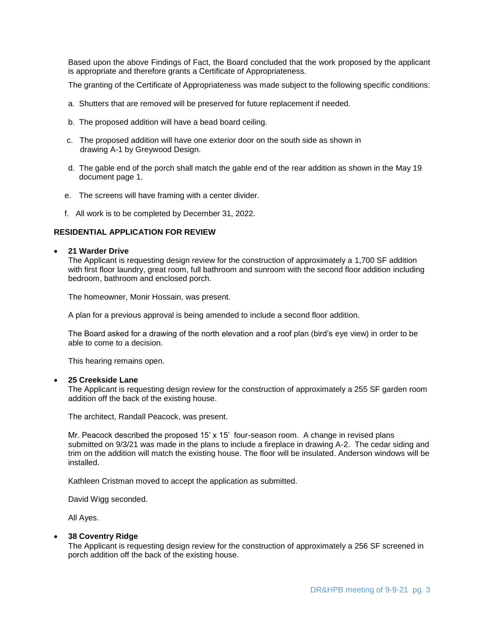Based upon the above Findings of Fact, the Board concluded that the work proposed by the applicant is appropriate and therefore grants a Certificate of Appropriateness.

The granting of the Certificate of Appropriateness was made subject to the following specific conditions:

- a. Shutters that are removed will be preserved for future replacement if needed.
- b. The proposed addition will have a bead board ceiling.
- c. The proposed addition will have one exterior door on the south side as shown in drawing A-1 by Greywood Design.
- d. The gable end of the porch shall match the gable end of the rear addition as shown in the May 19 document page 1.
- e. The screens will have framing with a center divider.
- f. All work is to be completed by December 31, 2022.

## **RESIDENTIAL APPLICATION FOR REVIEW**

#### **21 Warder Drive**

The Applicant is requesting design review for the construction of approximately a 1,700 SF addition with first floor laundry, great room, full bathroom and sunroom with the second floor addition including bedroom, bathroom and enclosed porch.

The homeowner, Monir Hossain, was present.

A plan for a previous approval is being amended to include a second floor addition.

The Board asked for a drawing of the north elevation and a roof plan (bird's eye view) in order to be able to come to a decision.

This hearing remains open.

#### **25 Creekside Lane**

The Applicant is requesting design review for the construction of approximately a 255 SF garden room addition off the back of the existing house.

The architect, Randall Peacock, was present.

Mr. Peacock described the proposed 15' x 15' four-season room. A change in revised plans submitted on 9/3/21 was made in the plans to include a fireplace in drawing A-2. The cedar siding and trim on the addition will match the existing house. The floor will be insulated. Anderson windows will be installed.

Kathleen Cristman moved to accept the application as submitted.

David Wigg seconded.

All Ayes.

#### **38 Coventry Ridge**

The Applicant is requesting design review for the construction of approximately a 256 SF screened in porch addition off the back of the existing house.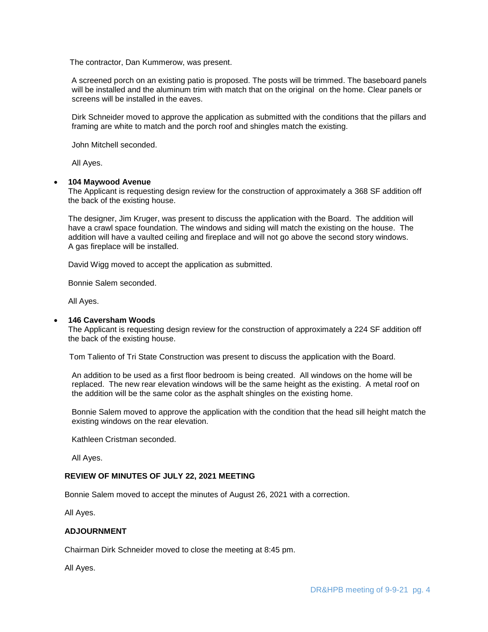The contractor, Dan Kummerow, was present.

 A screened porch on an existing patio is proposed. The posts will be trimmed. The baseboard panels will be installed and the aluminum trim with match that on the original on the home. Clear panels or screens will be installed in the eaves.

Dirk Schneider moved to approve the application as submitted with the conditions that the pillars and framing are white to match and the porch roof and shingles match the existing.

John Mitchell seconded.

All Ayes.

#### **104 Maywood Avenue**

The Applicant is requesting design review for the construction of approximately a 368 SF addition off the back of the existing house.

The designer, Jim Kruger, was present to discuss the application with the Board. The addition will have a crawl space foundation. The windows and siding will match the existing on the house. The addition will have a vaulted ceiling and fireplace and will not go above the second story windows. A gas fireplace will be installed.

David Wigg moved to accept the application as submitted.

Bonnie Salem seconded.

All Ayes.

#### **146 Caversham Woods**

The Applicant is requesting design review for the construction of approximately a 224 SF addition off the back of the existing house.

Tom Taliento of Tri State Construction was present to discuss the application with the Board.

An addition to be used as a first floor bedroom is being created. All windows on the home will be replaced. The new rear elevation windows will be the same height as the existing. A metal roof on the addition will be the same color as the asphalt shingles on the existing home.

Bonnie Salem moved to approve the application with the condition that the head sill height match the existing windows on the rear elevation.

Kathleen Cristman seconded.

All Ayes.

## **REVIEW OF MINUTES OF JULY 22, 2021 MEETING**

Bonnie Salem moved to accept the minutes of August 26, 2021 with a correction.

All Ayes.

## **ADJOURNMENT**

Chairman Dirk Schneider moved to close the meeting at 8:45 pm.

All Ayes.